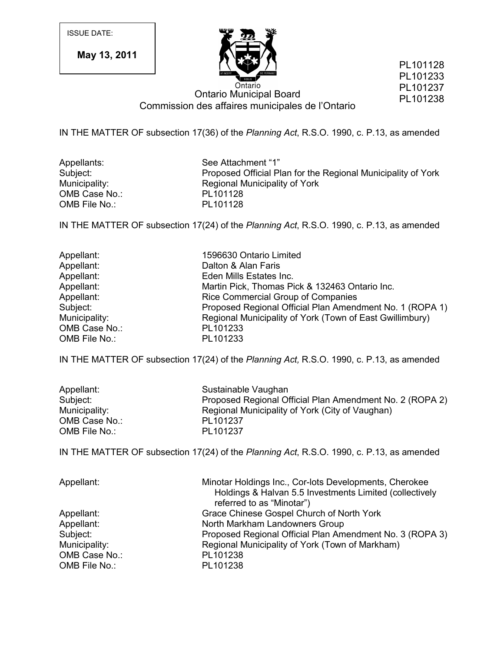ISSUE DATE:

**May 13, 2011**



PL101128 PL101233 PL101237 PL101238

Ontario Municipal Board Commission des affaires municipales de l'Ontario

IN THE MATTER OF subsection 17(36) of the *Planning Act*, R.S.O. 1990, c. P.13, as amended

OMB Case No.: PL101128<br>
OMB File No.: PL101128 OMB File No.:

Appellants: See Attachment "1"<br>Subject: Subject: Proposed Official Pl Proposed Official Plan for the Regional Municipality of York Municipality: Regional Municipality of York

IN THE MATTER OF subsection 17(24) of the *Planning Act*, R.S.O. 1990, c. P.13, as amended

| Appellant:    | 1596630 Ontario Limited                                  |
|---------------|----------------------------------------------------------|
| Appellant:    | Dalton & Alan Faris                                      |
| Appellant:    | Eden Mills Estates Inc.                                  |
| Appellant:    | Martin Pick, Thomas Pick & 132463 Ontario Inc.           |
| Appellant:    | Rice Commercial Group of Companies                       |
| Subject:      | Proposed Regional Official Plan Amendment No. 1 (ROPA 1) |
| Municipality: | Regional Municipality of York (Town of East Gwillimbury) |
| OMB Case No.: | PL101233                                                 |
| OMB File No.: | PL101233                                                 |

IN THE MATTER OF subsection 17(24) of the *Planning Act,* R.S.O. 1990, c. P.13, as amended

| Appellant:    | Sustainable Vaughan                                      |
|---------------|----------------------------------------------------------|
| Subject:      | Proposed Regional Official Plan Amendment No. 2 (ROPA 2) |
| Municipality: | Regional Municipality of York (City of Vaughan)          |
| OMB Case No.: | PL101237                                                 |
| OMB File No.: | PL101237                                                 |

IN THE MATTER OF subsection 17(24) of the *Planning Act*, R.S.O. 1990, c. P.13, as amended

| Appellant:    | Minotar Holdings Inc., Cor-lots Developments, Cherokee<br>Holdings & Halvan 5.5 Investments Limited (collectively<br>referred to as "Minotar") |
|---------------|------------------------------------------------------------------------------------------------------------------------------------------------|
| Appellant:    | Grace Chinese Gospel Church of North York                                                                                                      |
| Appellant:    | North Markham Landowners Group                                                                                                                 |
| Subject:      | Proposed Regional Official Plan Amendment No. 3 (ROPA 3)                                                                                       |
| Municipality: | Regional Municipality of York (Town of Markham)                                                                                                |
| OMB Case No.: | PL101238                                                                                                                                       |
| OMB File No.: | PL101238                                                                                                                                       |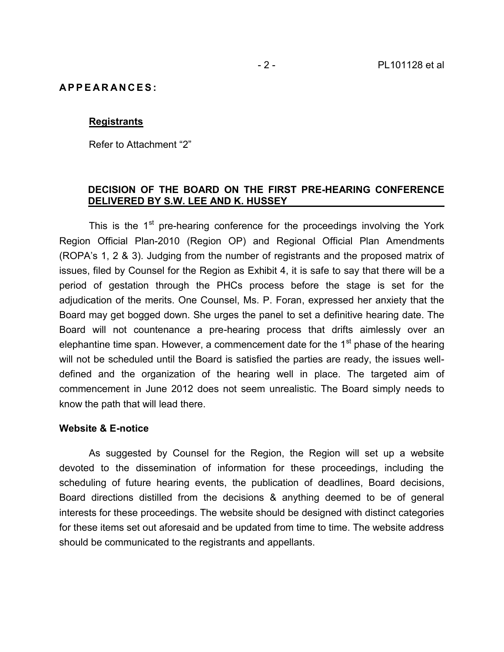# **A P P E A R A N C E S :**

### **Registrants**

Refer to Attachment "2"

### **DECISION OF THE BOARD ON THE FIRST PRE-HEARING CONFERENCE DELIVERED BY S.W. LEE AND K. HUSSEY**

This is the 1<sup>st</sup> pre-hearing conference for the proceedings involving the York Region Official Plan-2010 (Region OP) and Regional Official Plan Amendments (ROPA's 1, 2 & 3). Judging from the number of registrants and the proposed matrix of issues, filed by Counsel for the Region as Exhibit 4, it is safe to say that there will be a period of gestation through the PHCs process before the stage is set for the adjudication of the merits. One Counsel, Ms. P. Foran, expressed her anxiety that the Board may get bogged down. She urges the panel to set a definitive hearing date. The Board will not countenance a pre-hearing process that drifts aimlessly over an elephantine time span. However, a commencement date for the 1<sup>st</sup> phase of the hearing will not be scheduled until the Board is satisfied the parties are ready, the issues well defined and the organization of the hearing well in place. The targeted aim of commencement in June 2012 does not seem unrealistic. The Board simply needs to know the path that will lead there.

### **Website & E-notice**

As suggested by Counsel for the Region, the Region will set up a website devoted to the dissemination of information for these proceedings, including the scheduling of future hearing events, the publication of deadlines, Board decisions, Board directions distilled from the decisions & anything deemed to be of general interests for these proceedings. The website should be designed with distinct categories for these items set out aforesaid and be updated from time to time. The website address should be communicated to the registrants and appellants.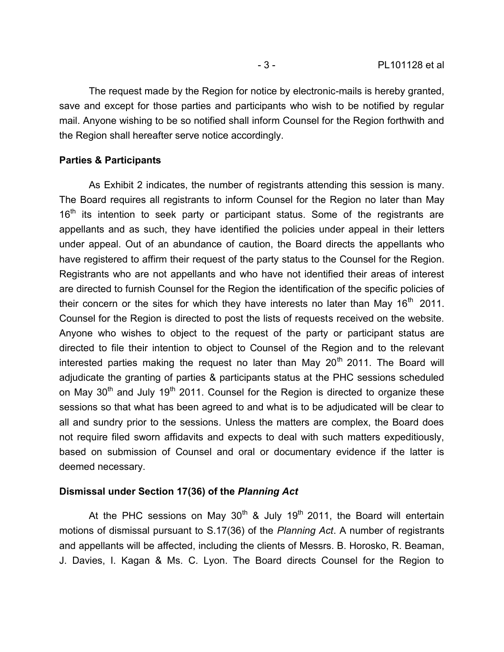The request made by the Region for notice by electronic-mails is hereby granted, save and except for those parties and participants who wish to be notified by regular mail. Anyone wishing to be so notified shall inform Counsel for the Region forthwith and the Region shall hereafter serve notice accordingly.

# **Parties & Participants**

As Exhibit 2 indicates, the number of registrants attending this session is many. The Board requires all registrants to inform Counsel for the Region no later than May  $16<sup>th</sup>$  its intention to seek party or participant status. Some of the registrants are appellants and as such, they have identified the policies under appeal in their letters under appeal. Out of an abundance of caution, the Board directs the appellants who have registered to affirm their request of the party status to the Counsel for the Region. Registrants who are not appellants and who have not identified their areas of interest are directed to furnish Counsel for the Region the identification of the specific policies of their concern or the sites for which they have interests no later than May  $16<sup>th</sup>$  2011. Counsel for the Region is directed to post the lists of requests received on the website. Anyone who wishes to object to the request of the party or participant status are directed to file their intention to object to Counsel of the Region and to the relevant interested parties making the request no later than May  $20<sup>th</sup>$  2011. The Board will adjudicate the granting of parties & participants status at the PHC sessions scheduled on May  $30<sup>th</sup>$  and July 19<sup>th</sup> 2011. Counsel for the Region is directed to organize these sessions so that what has been agreed to and what is to be adjudicated will be clear to all and sundry prior to the sessions. Unless the matters are complex, the Board does not require filed sworn affidavits and expects to deal with such matters expeditiously, based on submission of Counsel and oral or documentary evidence if the latter is deemed necessary.

# **Dismissal under Section 17(36) of the** *Planning Act*

At the PHC sessions on May  $30<sup>th</sup>$  & July 19<sup>th</sup> 2011, the Board will entertain motions of dismissal pursuant to S.17(36) of the *Planning Act*. A number of registrants and appellants will be affected, including the clients of Messrs. B. Horosko, R. Beaman, J. Davies, I. Kagan & Ms. C. Lyon. The Board directs Counsel for the Region to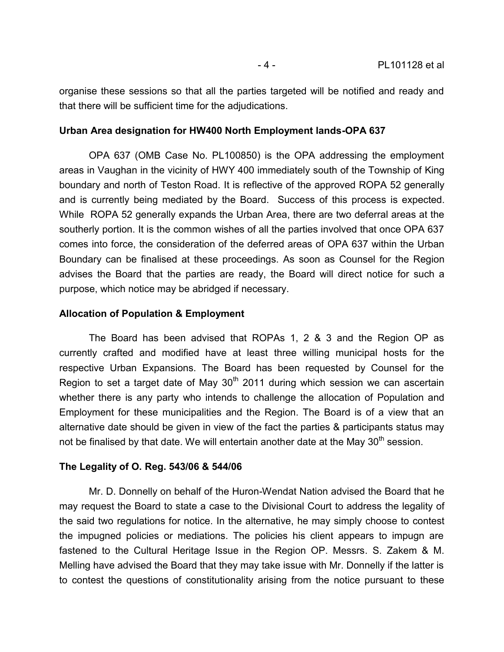organise these sessions so that all the parties targeted will be notified and ready and that there will be sufficient time for the adjudications.

### **Urban Area designation for HW400 North Employment lands-OPA 637**

OPA 637 (OMB Case No. PL100850) is the OPA addressing the employment areas in Vaughan in the vicinity of HWY 400 immediately south of the Township of King boundary and north of Teston Road. It is reflective of the approved ROPA 52 generally and is currently being mediated by the Board. Success of this process is expected. While ROPA 52 generally expands the Urban Area, there are two deferral areas at the southerly portion. It is the common wishes of all the parties involved that once OPA 637 comes into force, the consideration of the deferred areas of OPA 637 within the Urban Boundary can be finalised at these proceedings. As soon as Counsel for the Region advises the Board that the parties are ready, the Board will direct notice for such a purpose, which notice may be abridged if necessary.

### **Allocation of Population & Employment**

The Board has been advised that ROPAs 1, 2 & 3 and the Region OP as currently crafted and modified have at least three willing municipal hosts for the respective Urban Expansions. The Board has been requested by Counsel for the Region to set a target date of May  $30<sup>th</sup>$  2011 during which session we can ascertain whether there is any party who intends to challenge the allocation of Population and Employment for these municipalities and the Region. The Board is of a view that an alternative date should be given in view of the fact the parties & participants status may not be finalised by that date. We will entertain another date at the May 30<sup>th</sup> session.

### **The Legality of O. Reg. 543/06 & 544/06**

Mr. D. Donnelly on behalf of the Huron-Wendat Nation advised the Board that he may request the Board to state a case to the Divisional Court to address the legality of the said two regulations for notice. In the alternative, he may simply choose to contest the impugned policies or mediations. The policies his client appears to impugn are fastened to the Cultural Heritage Issue in the Region OP. Messrs. S. Zakem & M. Melling have advised the Board that they may take issue with Mr. Donnelly if the latter is to contest the questions of constitutionality arising from the notice pursuant to these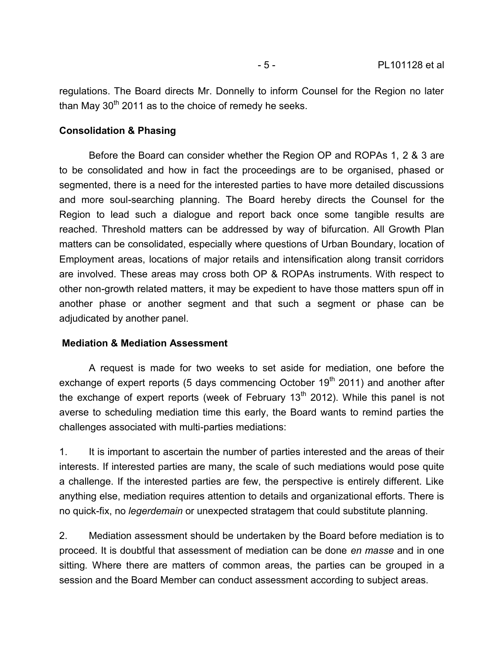regulations. The Board directs Mr. Donnelly to inform Counsel for the Region no later than May  $30<sup>th</sup>$  2011 as to the choice of remedy he seeks.

# **Consolidation & Phasing**

Before the Board can consider whether the Region OP and ROPAs 1, 2 & 3 are to be consolidated and how in fact the proceedings are to be organised, phased or segmented, there is a need for the interested parties to have more detailed discussions and more soul-searching planning. The Board hereby directs the Counsel for the Region to lead such a dialogue and report back once some tangible results are reached. Threshold matters can be addressed by way of bifurcation. All Growth Plan matters can be consolidated, especially where questions of Urban Boundary, location of Employment areas, locations of major retails and intensification along transit corridors are involved. These areas may cross both OP & ROPAs instruments. With respect to other non-growth related matters, it may be expedient to have those matters spun off in another phase or another segment and that such a segment or phase can be adjudicated by another panel.

# **Mediation & Mediation Assessment**

A request is made for two weeks to set aside for mediation, one before the exchange of expert reports (5 days commencing October  $19<sup>th</sup>$  2011) and another after the exchange of expert reports (week of February  $13<sup>th</sup>$  2012). While this panel is not averse to scheduling mediation time this early, the Board wants to remind parties the challenges associated with multi-parties mediations:

1. It is important to ascertain the number of parties interested and the areas of their interests. If interested parties are many, the scale of such mediations would pose quite a challenge. If the interested parties are few, the perspective is entirely different. Like anything else, mediation requires attention to details and organizational efforts. There is no quick-fix, no *legerdemain* or unexpected stratagem that could substitute planning.

2. Mediation assessment should be undertaken by the Board before mediation is to proceed. It is doubtful that assessment of mediation can be done *en masse* and in one sitting*.* Where there are matters of common areas, the parties can be grouped in a session and the Board Member can conduct assessment according to subject areas.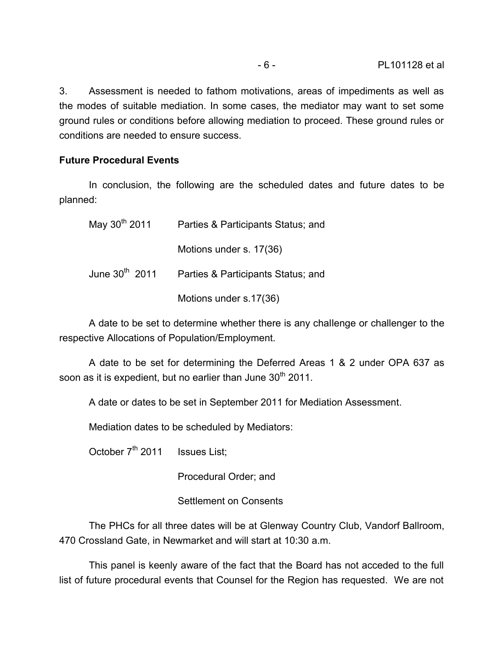3. Assessment is needed to fathom motivations, areas of impediments as well as the modes of suitable mediation. In some cases, the mediator may want to set some ground rules or conditions before allowing mediation to proceed. These ground rules or conditions are needed to ensure success.

# **Future Procedural Events**

In conclusion, the following are the scheduled dates and future dates to be planned:

| May 30 <sup>th</sup> 2011 | Parties & Participants Status; and                            |
|---------------------------|---------------------------------------------------------------|
|                           | Motions under s. 17(36)                                       |
|                           | June 30 <sup>th</sup> 2011 Parties & Participants Status; and |
|                           | Motions under s.17(36)                                        |

A date to be set to determine whether there is any challenge or challenger to the respective Allocations of Population/Employment.

A date to be set for determining the Deferred Areas 1 & 2 under OPA 637 as soon as it is expedient, but no earlier than June 30<sup>th</sup> 2011.

A date or dates to be set in September 2011 for Mediation Assessment.

Mediation dates to be scheduled by Mediators:

October 7<sup>th</sup> 2011 Issues List:

Procedural Order; and

Settlement on Consents

The PHCs for all three dates will be at Glenway Country Club, Vandorf Ballroom, 470 Crossland Gate, in Newmarket and will start at 10:30 a.m.

This panel is keenly aware of the fact that the Board has not acceded to the full list of future procedural events that Counsel for the Region has requested. We are not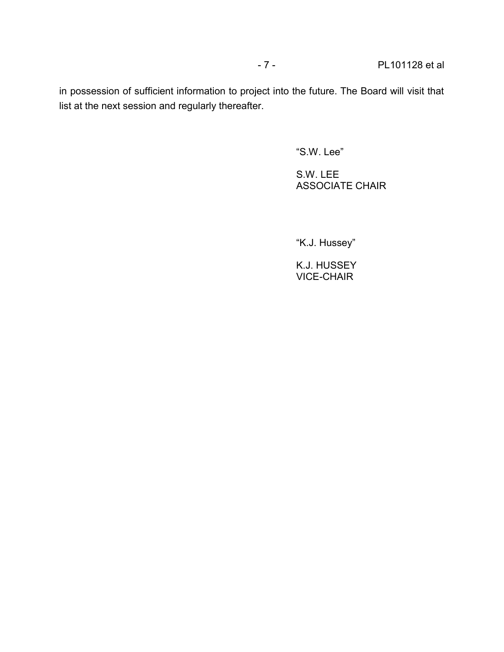in possession of sufficient information to project into the future. The Board will visit that list at the next session and regularly thereafter.

"S.W. Lee"

S.W. LEE ASSOCIATE CHAIR

"K.J. Hussey"

K.J. HUSSEY VICE-CHAIR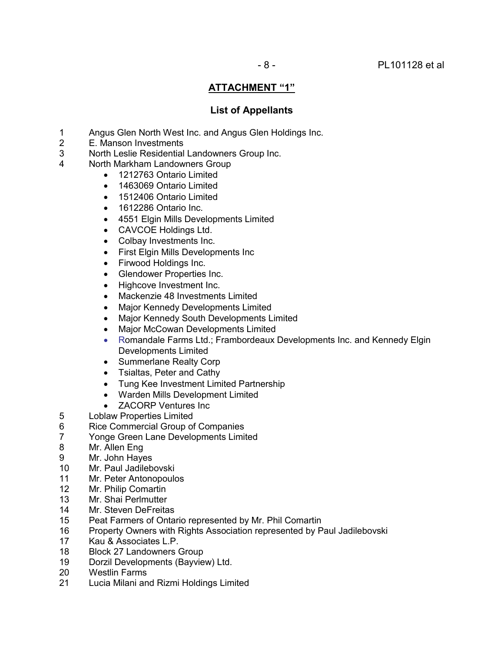# **ATTACHMENT "1"**

# **List of Appellants**

- 1 Angus Glen North West Inc. and Angus Glen Holdings Inc.
- 2 E. Manson Investments
- 3 North Leslie Residential Landowners Group Inc.
- 4 North Markham Landowners Group
	- 1212763 Ontario Limited
	- 1463069 Ontario Limited
	- 1512406 Ontario Limited
	- 1612286 Ontario Inc.
	- 4551 Elgin Mills Developments Limited
	- CAVCOE Holdings Ltd.
	- Colbay Investments Inc.
	- First Elgin Mills Developments Inc
	- Firwood Holdings Inc.
	- Glendower Properties Inc.
	- Highcove Investment Inc.
	- Mackenzie 48 Investments Limited
	- Major Kennedy Developments Limited
	- Major Kennedy South Developments Limited
	- Major McCowan Developments Limited
	- Romandale Farms Ltd.; Frambordeaux Developments Inc. and Kennedy Elgin Developments Limited
	- Summerlane Realty Corp
	- Tsialtas, Peter and Cathy
	- Tung Kee Investment Limited Partnership
	- Warden Mills Development Limited
	- ZACORP Ventures Inc
- 5 Loblaw Properties Limited
- 6 Rice Commercial Group of Companies
- 7 Yonge Green Lane Developments Limited
- 8 Mr. Allen Eng<br>9 Mr. John Hay
- Mr. John Hayes
- 10 Mr. Paul Jadilebovski
- 11 Mr. Peter Antonopoulos<br>12 Mr. Philip Comartin
- Mr. Philip Comartin
- 13 Mr. Shai Perlmutter
- 14 Mr. Steven DeFreitas
- 15 Peat Farmers of Ontario represented by Mr. Phil Comartin
- 16 Property Owners with Rights Association represented by Paul Jadilebovski
- 17 Kau & Associates L.P.
- 18 Block 27 Landowners Group
- 19 Dorzil Developments (Bayview) Ltd.
- 20 Westlin Farms
- 21 Lucia Milani and Rizmi Holdings Limited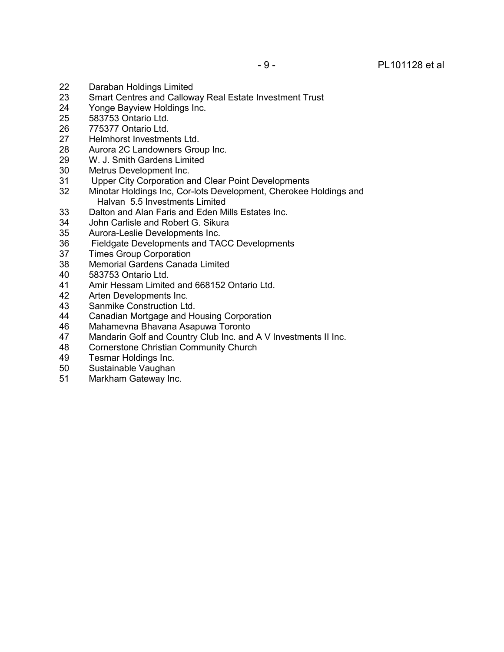- 22 Daraban Holdings Limited<br>23 Smart Centres and Callow
- Smart Centres and Calloway Real Estate Investment Trust
- 24 Yonge Bayview Holdings Inc.<br>25 583753 Ontario Ltd.
- 583753 Ontario Ltd.
- 26 775377 Ontario Ltd.
- 27 Helmhorst Investments Ltd.<br>28 Aurora 2C Landowners Grou
- 28 Aurora 2C Landowners Group Inc.<br>29 W. J. Smith Gardens Limited
- W. J. Smith Gardens Limited
- 30 Metrus Development Inc.
- 31 Upper City Corporation and Clear Point Developments<br>32 Minotar Holdings Inc. Cor-lots Development. Cherokee
- Minotar Holdings Inc, Cor-lots Development, Cherokee Holdings and Halvan 5.5 Investments Limited
- 33 Dalton and Alan Faris and Eden Mills Estates Inc.<br>34 John Carlisle and Robert G. Sikura
- John Carlisle and Robert G. Sikura
- 35 Aurora-Leslie Developments Inc.
- 36 Fieldgate Developments and TACC Developments<br>37 Times Group Corporation
- 37 Times Group Corporation<br>38 Memorial Gardens Canad
- Memorial Gardens Canada Limited
- 40 583753 Ontario Ltd.
- 41 Amir Hessam Limited and 668152 Ontario Ltd.<br>42 Arten Developments Inc.
- Arten Developments Inc.
- 43 Sanmike Construction Ltd.
- 44 Canadian Mortgage and Housing Corporation<br>46 Mahamevna Bhavana Asapuwa Toronto
- Mahamevna Bhavana Asapuwa Toronto
- 47 Mandarin Golf and Country Club Inc. and A V Investments II Inc.
- 48 Cornerstone Christian Community Church<br>49 Tesmar Holdings Inc.
- Tesmar Holdings Inc.
- 50 Sustainable Vaughan
- 51 Markham Gateway Inc.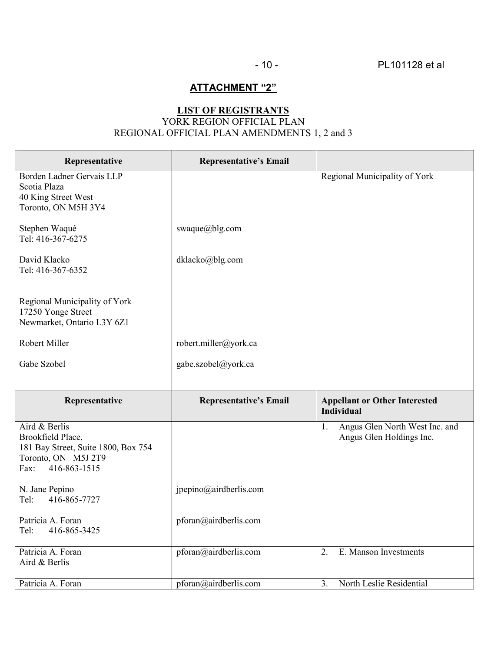# **ATTACHMENT "2"**

# **LIST OF REGISTRANTS** YORK REGION OFFICIAL PLAN REGIONAL OFFICIAL PLAN AMENDMENTS 1, 2 and 3

| Representative                                                                                                           | <b>Representative's Email</b> |                                                                  |
|--------------------------------------------------------------------------------------------------------------------------|-------------------------------|------------------------------------------------------------------|
| Borden Ladner Gervais LLP<br>Scotia Plaza<br>40 King Street West<br>Toronto, ON M5H 3Y4                                  |                               | Regional Municipality of York                                    |
| Stephen Waqué<br>Tel: 416-367-6275                                                                                       | swaque@blg.com                |                                                                  |
| David Klacko<br>Tel: 416-367-6352                                                                                        | dklacko@blg.com               |                                                                  |
| Regional Municipality of York<br>17250 Yonge Street<br>Newmarket, Ontario L3Y 6Z1                                        |                               |                                                                  |
| Robert Miller                                                                                                            | robert.miller@york.ca         |                                                                  |
| Gabe Szobel                                                                                                              | gabe.szobel@york.ca           |                                                                  |
|                                                                                                                          |                               |                                                                  |
|                                                                                                                          |                               |                                                                  |
| Representative                                                                                                           | <b>Representative's Email</b> | <b>Appellant or Other Interested</b><br><b>Individual</b>        |
| Aird & Berlis<br>Brookfield Place,<br>181 Bay Street, Suite 1800, Box 754<br>Toronto, ON M5J 2T9<br>416-863-1515<br>Fax: |                               | Angus Glen North West Inc. and<br>1.<br>Angus Glen Holdings Inc. |
| N. Jane Pepino<br>416-865-7727<br>Tel:                                                                                   | jpepino@airdberlis.com        |                                                                  |
| Patricia A. Foran<br>416-865-3425<br>Tel:                                                                                | pforan@airdberlis.com         |                                                                  |
| Patricia A. Foran<br>Aird & Berlis                                                                                       | pforan@airdberlis.com         | E. Manson Investments<br>2.                                      |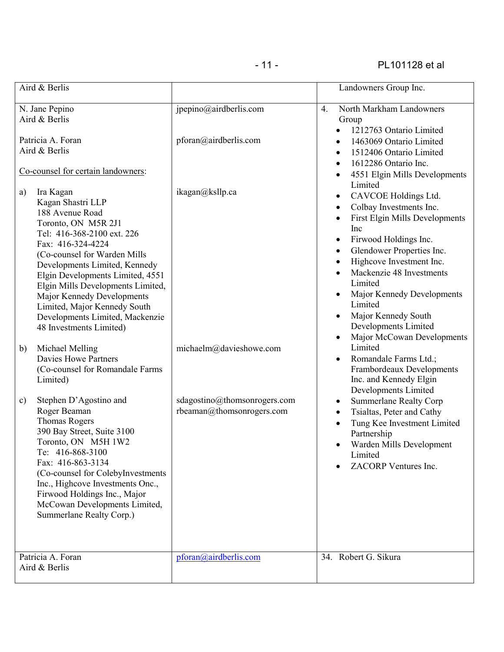| Aird & Berlis                                                                                                                                                                                                                                                                                                                                                                                           |                                                           | Landowners Group Inc.                                                                                                                                                                                                                                                                                                                                                                                      |
|---------------------------------------------------------------------------------------------------------------------------------------------------------------------------------------------------------------------------------------------------------------------------------------------------------------------------------------------------------------------------------------------------------|-----------------------------------------------------------|------------------------------------------------------------------------------------------------------------------------------------------------------------------------------------------------------------------------------------------------------------------------------------------------------------------------------------------------------------------------------------------------------------|
| N. Jane Pepino<br>Aird & Berlis                                                                                                                                                                                                                                                                                                                                                                         | jpepino@airdberlis.com                                    | North Markham Landowners<br>$\overline{4}$ .<br>Group<br>1212763 Ontario Limited                                                                                                                                                                                                                                                                                                                           |
| Patricia A. Foran<br>Aird & Berlis                                                                                                                                                                                                                                                                                                                                                                      | pforan@airdberlis.com                                     | 1463069 Ontario Limited<br>1512406 Ontario Limited<br>$\bullet$<br>1612286 Ontario Inc.<br>$\bullet$                                                                                                                                                                                                                                                                                                       |
| Co-counsel for certain landowners:                                                                                                                                                                                                                                                                                                                                                                      |                                                           | 4551 Elgin Mills Developments                                                                                                                                                                                                                                                                                                                                                                              |
| Ira Kagan<br>a)<br>Kagan Shastri LLP<br>188 Avenue Road<br>Toronto, ON M5R 2J1<br>Tel: 416-368-2100 ext. 226<br>Fax: 416-324-4224<br>(Co-counsel for Warden Mills<br>Developments Limited, Kennedy<br>Elgin Developments Limited, 4551<br>Elgin Mills Developments Limited,<br>Major Kennedy Developments<br>Limited, Major Kennedy South<br>Developments Limited, Mackenzie<br>48 Investments Limited) | ikagan@ksllp.ca                                           | Limited<br>CAVCOE Holdings Ltd.<br>٠<br>Colbay Investments Inc.<br>$\bullet$<br><b>First Elgin Mills Developments</b><br>Inc<br>Firwood Holdings Inc.<br>٠<br>Glendower Properties Inc.<br>$\bullet$<br>Highcove Investment Inc.<br>$\bullet$<br>Mackenzie 48 Investments<br>Limited<br>Major Kennedy Developments<br>Limited<br>Major Kennedy South<br>Developments Limited<br>Major McCowan Developments |
| Michael Melling<br>b)<br><b>Davies Howe Partners</b><br>(Co-counsel for Romandale Farms<br>Limited)                                                                                                                                                                                                                                                                                                     | michaelm@davieshowe.com                                   | Limited<br>Romandale Farms Ltd.;<br>Frambordeaux Developments<br>Inc. and Kennedy Elgin<br>Developments Limited                                                                                                                                                                                                                                                                                            |
| Stephen D'Agostino and<br>$\mathbf{c})$<br>Roger Beaman<br><b>Thomas Rogers</b><br>390 Bay Street, Suite 3100<br>Toronto, ON M5H 1W2<br>Te: 416-868-3100<br>Fax: 416-863-3134<br>(Co-counsel for ColebyInvestments<br>Inc., Highcove Investments Onc.,<br>Firwood Holdings Inc., Major<br>McCowan Developments Limited,<br>Summerlane Realty Corp.)                                                     | sdagostino@thomsonrogers.com<br>rbeaman@thomsonrogers.com | <b>Summerlane Realty Corp</b><br>٠<br>Tsialtas, Peter and Cathy<br>$\bullet$<br>Tung Kee Investment Limited<br>Partnership<br>Warden Mills Development<br>$\bullet$<br>Limited<br>ZACORP Ventures Inc.                                                                                                                                                                                                     |
| Patricia A. Foran<br>Aird & Berlis                                                                                                                                                                                                                                                                                                                                                                      | pforan@airdberlis.com                                     | 34. Robert G. Sikura                                                                                                                                                                                                                                                                                                                                                                                       |
|                                                                                                                                                                                                                                                                                                                                                                                                         |                                                           |                                                                                                                                                                                                                                                                                                                                                                                                            |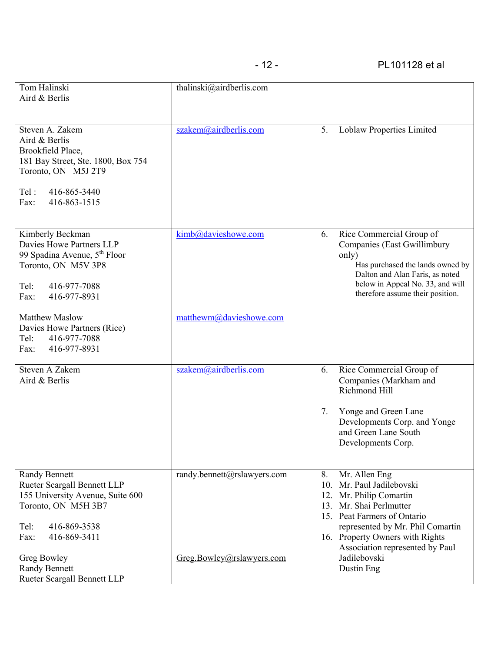| Tom Halinski<br>Aird & Berlis                                                                                                                                                 | thalinski@airdberlis.com                                 |                                                                                                                                                                                                                                                                    |
|-------------------------------------------------------------------------------------------------------------------------------------------------------------------------------|----------------------------------------------------------|--------------------------------------------------------------------------------------------------------------------------------------------------------------------------------------------------------------------------------------------------------------------|
| Steven A. Zakem<br>Aird & Berlis<br>Brookfield Place,<br>181 Bay Street, Ste. 1800, Box 754<br>Toronto, ON M5J 2T9<br>416-865-3440<br>Tel:<br>416-863-1515<br>Fax:            | szakem@airdberlis.com                                    | 5.<br>Loblaw Properties Limited                                                                                                                                                                                                                                    |
| Kimberly Beckman<br>Davies Howe Partners LLP<br>99 Spadina Avenue, 5 <sup>th</sup> Floor<br>Toronto, ON M5V 3P8<br>416-977-7088<br>Tel:<br>Fax:<br>416-977-8931               | kimb@davieshowe.com                                      | Rice Commercial Group of<br>6.<br>Companies (East Gwillimbury<br>only)<br>Has purchased the lands owned by<br>Dalton and Alan Faris, as noted<br>below in Appeal No. 33, and will<br>therefore assume their position.                                              |
| <b>Matthew Maslow</b><br>Davies Howe Partners (Rice)<br>416-977-7088<br>Tel:<br>416-977-8931<br>Fax:                                                                          | matthewm@davieshowe.com                                  |                                                                                                                                                                                                                                                                    |
| Steven A Zakem<br>Aird & Berlis                                                                                                                                               | szakem@airdberlis.com                                    | Rice Commercial Group of<br>6.<br>Companies (Markham and<br>Richmond Hill<br>Yonge and Green Lane<br>7.<br>Developments Corp. and Yonge<br>and Green Lane South<br>Developments Corp.                                                                              |
| <b>Randy Bennett</b><br>Rueter Scargall Bennett LLP<br>155 University Avenue, Suite 600<br>Toronto, ON M5H 3B7<br>Tel:<br>416-869-3538<br>416-869-3411<br>Fax:<br>Greg Bowley | randy.bennett@rslawyers.com<br>Greg.Bowley@rslawyers.com | Mr. Allen Eng<br>8.<br>10. Mr. Paul Jadilebovski<br>12. Mr. Philip Comartin<br>Mr. Shai Perlmutter<br>13.<br>15. Peat Farmers of Ontario<br>represented by Mr. Phil Comartin<br>16. Property Owners with Rights<br>Association represented by Paul<br>Jadilebovski |
| <b>Randy Bennett</b><br>Rueter Scargall Bennett LLP                                                                                                                           |                                                          | Dustin Eng                                                                                                                                                                                                                                                         |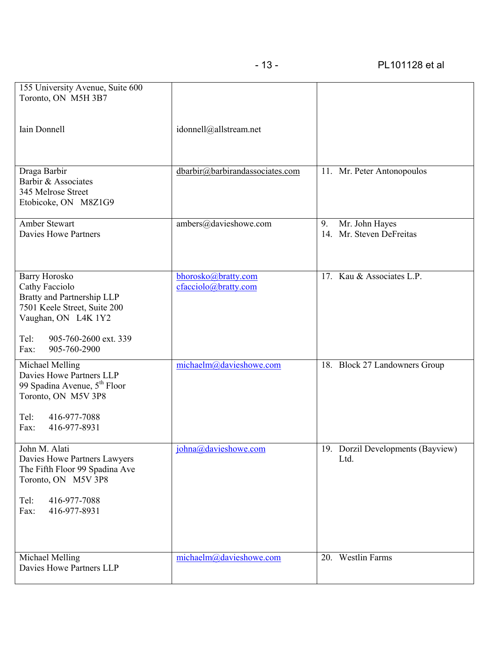| 155 University Avenue, Suite 600<br>Toronto, ON M5H 3B7                               |                                 |    |                                            |
|---------------------------------------------------------------------------------------|---------------------------------|----|--------------------------------------------|
|                                                                                       |                                 |    |                                            |
| Iain Donnell                                                                          | idonnell@allstream.net          |    |                                            |
|                                                                                       |                                 |    |                                            |
| Draga Barbir<br>Barbir & Associates                                                   | dbarbir@barbirandassociates.com |    | 11. Mr. Peter Antonopoulos                 |
| 345 Melrose Street<br>Etobicoke, ON M8Z1G9                                            |                                 |    |                                            |
| <b>Amber Stewart</b><br><b>Davies Howe Partners</b>                                   | ambers@davieshowe.com           | 9. | Mr. John Hayes<br>14. Mr. Steven DeFreitas |
|                                                                                       |                                 |    |                                            |
| <b>Barry Horosko</b>                                                                  | bhorosko@bratty.com             |    | 17. Kau & Associates L.P.                  |
| Cathy Facciolo<br>Bratty and Partnership LLP<br>7501 Keele Street, Suite 200          | cfacciolo@bratty.com            |    |                                            |
| Vaughan, ON L4K 1Y2                                                                   |                                 |    |                                            |
| Tel:<br>905-760-2600 ext. 339<br>Fax:<br>905-760-2900                                 |                                 |    |                                            |
| Michael Melling<br>Davies Howe Partners LLP                                           | michaelm@davieshowe.com         |    | 18. Block 27 Landowners Group              |
| 99 Spadina Avenue, 5 <sup>th</sup> Floor<br>Toronto, ON M5V 3P8                       |                                 |    |                                            |
| Tel:<br>416-977-7088<br>416-977-8931<br>Fax:                                          |                                 |    |                                            |
| John M. Alati                                                                         | johna@davieshowe.com            | 19 | Dorzil Developments (Bayview)              |
| Davies Howe Partners Lawyers<br>The Fifth Floor 99 Spadina Ave<br>Toronto, ON M5V 3P8 |                                 |    | Ltd.                                       |
| Tel:<br>416-977-7088<br>Fax:<br>416-977-8931                                          |                                 |    |                                            |
|                                                                                       |                                 |    |                                            |
| Michael Melling                                                                       | michaelm@davieshowe.com         |    | 20. Westlin Farms                          |
| Davies Howe Partners LLP                                                              |                                 |    |                                            |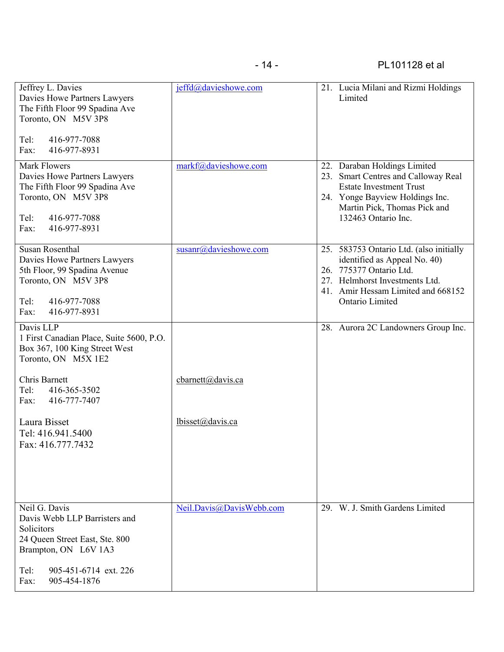| Jeffrey L. Davies<br>Davies Howe Partners Lawyers<br>The Fifth Floor 99 Spadina Ave<br>Toronto, ON M5V 3P8<br>416-977-7088<br>Tel:<br>416-977-8931<br>Fax:    | jeffd@davieshowe.com     | 21. Lucia Milani and Rizmi Holdings<br>Limited                                                                                                                                                       |
|---------------------------------------------------------------------------------------------------------------------------------------------------------------|--------------------------|------------------------------------------------------------------------------------------------------------------------------------------------------------------------------------------------------|
| <b>Mark Flowers</b><br>Davies Howe Partners Lawyers<br>The Fifth Floor 99 Spadina Ave<br>Toronto, ON M5V 3P8<br>416-977-7088<br>Tel:<br>416-977-8931<br>Fax:  | markf@davieshowe.com     | 22. Daraban Holdings Limited<br>23. Smart Centres and Calloway Real<br><b>Estate Investment Trust</b><br>24. Yonge Bayview Holdings Inc.<br>Martin Pick, Thomas Pick and<br>132463 Ontario Inc.      |
| <b>Susan Rosenthal</b><br>Davies Howe Partners Lawyers<br>5th Floor, 99 Spadina Avenue<br>Toronto, ON M5V 3P8<br>Tel:<br>416-977-7088<br>416-977-8931<br>Fax: | susanr@davieshowe.com    | 25. 583753 Ontario Ltd. (also initially<br>identified as Appeal No. 40)<br>26. 775377 Ontario Ltd.<br>27. Helmhorst Investments Ltd.<br>41. Amir Hessam Limited and 668152<br><b>Ontario Limited</b> |
| Davis LLP<br>1 First Canadian Place, Suite 5600, P.O.<br>Box 367, 100 King Street West<br>Toronto, ON M5X 1E2                                                 |                          | 28. Aurora 2C Landowners Group Inc.                                                                                                                                                                  |
| Chris Barnett<br>Tel:<br>416-365-3502<br>416-777-7407<br>Fax:                                                                                                 | cbarnett@davis.ca        |                                                                                                                                                                                                      |
| Laura Bisset<br>Tel: 416.941.5400<br>Fax: 416.777.7432                                                                                                        | lbisset@davis.ca         |                                                                                                                                                                                                      |
| Neil G. Davis<br>Davis Webb LLP Barristers and<br>Solicitors<br>24 Queen Street East, Ste. 800<br>Brampton, ON L6V 1A3                                        | Neil.Davis@DavisWebb.com | 29. W. J. Smith Gardens Limited                                                                                                                                                                      |
| Tel:<br>905-451-6714 ext. 226<br>905-454-1876<br>Fax:                                                                                                         |                          |                                                                                                                                                                                                      |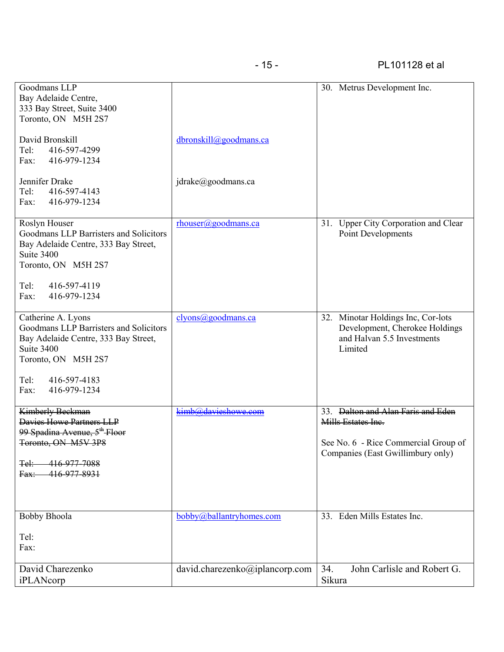| Goodmans LLP<br>Bay Adelaide Centre,<br>333 Bay Street, Suite 3400<br>Toronto, ON M5H 2S7                                                                                                 |                                | 30. Metrus Development Inc.                                                                                                           |
|-------------------------------------------------------------------------------------------------------------------------------------------------------------------------------------------|--------------------------------|---------------------------------------------------------------------------------------------------------------------------------------|
| David Bronskill<br>Tel:<br>416-597-4299<br>416-979-1234<br>Fax:                                                                                                                           | dbronskill@goodmans.ca         |                                                                                                                                       |
| Jennifer Drake<br>Tel:<br>416-597-4143<br>416-979-1234<br>Fax:                                                                                                                            | jdrake@goodmans.ca             |                                                                                                                                       |
| Roslyn Houser<br>Goodmans LLP Barristers and Solicitors<br>Bay Adelaide Centre, 333 Bay Street,<br>Suite 3400<br>Toronto, ON M5H 2S7<br>416-597-4119<br>Tel:<br>416-979-1234<br>Fax:      | rhouser@goodmans.ca            | 31. Upper City Corporation and Clear<br>Point Developments                                                                            |
| Catherine A. Lyons<br>Goodmans LLP Barristers and Solicitors<br>Bay Adelaide Centre, 333 Bay Street,<br>Suite 3400<br>Toronto, ON M5H 2S7<br>Tel:<br>416-597-4183<br>416-979-1234<br>Fax: | clyons@goodmans.ca             | 32. Minotar Holdings Inc, Cor-lots<br>Development, Cherokee Holdings<br>and Halvan 5.5 Investments<br>Limited                         |
| <b>Kimberly Beckman</b><br>Davies Howe Partners LLP<br>99 Spadina Avenue, 5 <sup>th</sup> Floor<br>Toronto, ON M5V 3P8<br><del>Tel:-</del><br>416-977-7088<br>416-977-8931<br>Fax:        | kimb@davieshowe.com            | 33. Dalton and Alan Faris and Eden<br>Mills Estates Inc.<br>See No. 6 - Rice Commercial Group of<br>Companies (East Gwillimbury only) |
| <b>Bobby Bhoola</b><br>Tel:<br>Fax:                                                                                                                                                       | bobby@ballantryhomes.com       | 33. Eden Mills Estates Inc.                                                                                                           |
| David Charezenko<br>iPLANcorp                                                                                                                                                             | david.charezenko@iplancorp.com | John Carlisle and Robert G.<br>34.<br>Sikura                                                                                          |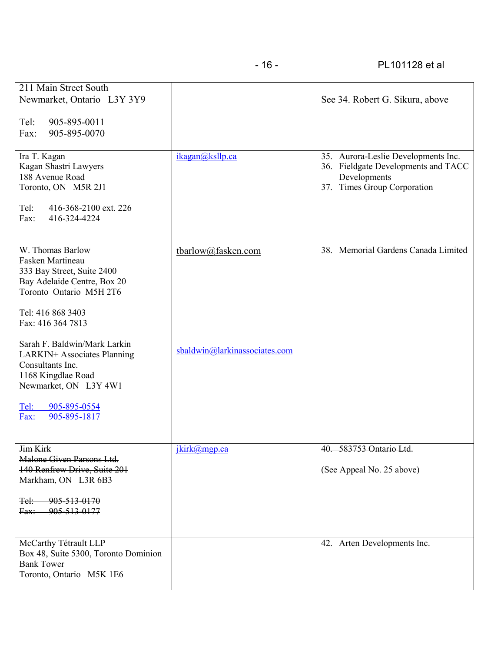| 211 Main Street South<br>Newmarket, Ontario L3Y 3Y9<br>905-895-0011<br>Tel:<br>905-895-0070<br>Fax:<br>Ira T. Kagan<br>Kagan Shastri Lawyers<br>188 Avenue Road                       | ikagan@ksllp.ca               | See 34. Robert G. Sikura, above<br>35. Aurora-Leslie Developments Inc.<br>36. Fieldgate Developments and TACC<br>Developments |
|---------------------------------------------------------------------------------------------------------------------------------------------------------------------------------------|-------------------------------|-------------------------------------------------------------------------------------------------------------------------------|
| Toronto, ON M5R 2J1<br>Tel:<br>416-368-2100 ext. 226<br>416-324-4224<br>Fax:                                                                                                          |                               | 37. Times Group Corporation                                                                                                   |
| W. Thomas Barlow<br>Fasken Martineau<br>333 Bay Street, Suite 2400<br>Bay Adelaide Centre, Box 20<br>Toronto Ontario M5H 2T6<br>Tel: 416 868 3403<br>Fax: 416 364 7813                | tbarlow@fasken.com            | 38. Memorial Gardens Canada Limited                                                                                           |
| Sarah F. Baldwin/Mark Larkin<br>LARKIN+ Associates Planning<br>Consultants Inc.<br>1168 Kingdlae Road<br>Newmarket, ON L3Y 4W1<br>905-895-0554<br><u>Tel:</u><br>905-895-1817<br>Fax: | sbaldwin@larkinassociates.com |                                                                                                                               |
| Jim Kirk<br>Malone Given Parsons Ltd.<br>140 Renfrew Drive, Suite 201<br>Markham, ON L3R 6B3<br>905-513-0170<br><del>Tel:</del><br>905-513-0177<br>Fax:                               | ikirk@mgp ca                  | 40. 583753 Ontario Ltd.<br>(See Appeal No. 25 above)                                                                          |
| McCarthy Tétrault LLP<br>Box 48, Suite 5300, Toronto Dominion<br><b>Bank Tower</b><br>Toronto, Ontario M5K 1E6                                                                        |                               | Arten Developments Inc.<br>42.                                                                                                |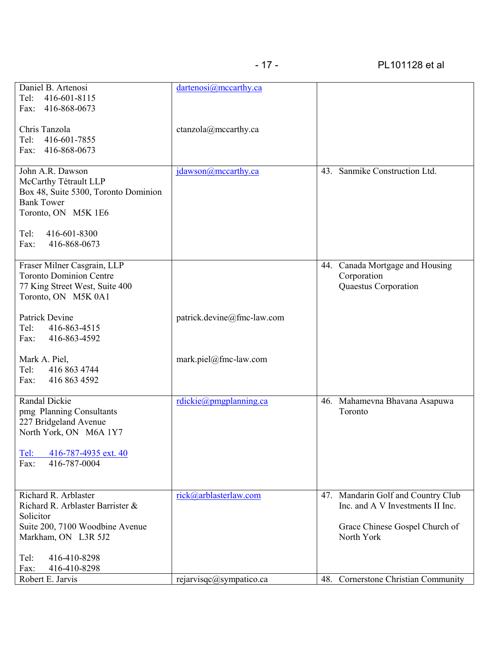| Daniel B. Artenosi                                                                                                                                                            | dartenosi@mccarthy.ca      |                                                                                                          |
|-------------------------------------------------------------------------------------------------------------------------------------------------------------------------------|----------------------------|----------------------------------------------------------------------------------------------------------|
| 416-601-8115<br>Tel:<br>416-868-0673<br>Fax:                                                                                                                                  |                            |                                                                                                          |
| Chris Tanzola<br>Tel:<br>416-601-7855<br>416-868-0673<br>Fax:                                                                                                                 | ctanzola@mccarthy.ca       |                                                                                                          |
| John A.R. Dawson<br>McCarthy Tétrault LLP<br>Box 48, Suite 5300, Toronto Dominion<br><b>Bank Tower</b><br>Toronto, ON M5K 1E6<br>416-601-8300<br>Tel:<br>416-868-0673<br>Fax: | jdawson@mccarthy.ca        | 43. Sanmike Construction Ltd.                                                                            |
|                                                                                                                                                                               |                            |                                                                                                          |
| Fraser Milner Casgrain, LLP<br><b>Toronto Dominion Centre</b><br>77 King Street West, Suite 400<br>Toronto, ON M5K 0A1                                                        |                            | 44. Canada Mortgage and Housing<br>Corporation<br>Quaestus Corporation                                   |
| Patrick Devine<br>Tel:<br>416-863-4515<br>416-863-4592<br>Fax:                                                                                                                | patrick.devine@fmc-law.com |                                                                                                          |
| Mark A. Piel,<br>Tel:<br>416 863 4744<br>416 863 4592<br>Fax:                                                                                                                 | mark.piel@fmc-law.com      |                                                                                                          |
| Randal Dickie<br>pmg Planning Consultants<br>227 Bridgeland Avenue<br>North York, ON M6A 1Y7                                                                                  | rdickie@pmgplanning.ca     | 46. Mahamevna Bhavana Asapuwa<br>Toronto                                                                 |
| Tel:<br>416-787-4935 ext. 40<br>416-787-0004<br>Fax:                                                                                                                          |                            |                                                                                                          |
| Richard R. Arblaster<br>Richard R. Arblaster Barrister &<br>Solicitor<br>Suite 200, 7100 Woodbine Avenue                                                                      | rick@arblasterlaw.com      | 47. Mandarin Golf and Country Club<br>Inc. and A V Investments II Inc.<br>Grace Chinese Gospel Church of |
| Markham, ON L3R 5J2                                                                                                                                                           |                            | North York                                                                                               |
| 416-410-8298<br>Tel:<br>416-410-8298<br>Fax:                                                                                                                                  |                            |                                                                                                          |
| Robert E. Jarvis                                                                                                                                                              | rejarvisqc@sympatico.ca    | 48. Cornerstone Christian Community                                                                      |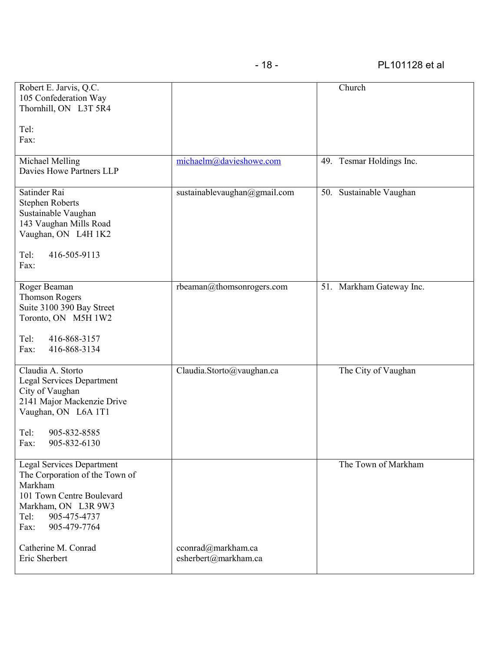| Robert E. Jarvis, Q.C.<br>105 Confederation Way<br>Thornhill, ON L3T 5R4<br>Tel:<br>Fax:                                                                                          |                                            | Church                   |
|-----------------------------------------------------------------------------------------------------------------------------------------------------------------------------------|--------------------------------------------|--------------------------|
| Michael Melling<br>Davies Howe Partners LLP                                                                                                                                       | michaelm@davieshowe.com                    | 49. Tesmar Holdings Inc. |
| Satinder Rai<br><b>Stephen Roberts</b><br>Sustainable Vaughan<br>143 Vaughan Mills Road<br>Vaughan, ON L4H 1K2<br>416-505-9113<br>Tel:<br>Fax:                                    | sustainablevaughan@gmail.com               | 50. Sustainable Vaughan  |
| Roger Beaman<br><b>Thomson Rogers</b><br>Suite 3100 390 Bay Street<br>Toronto, ON M5H 1W2<br>Tel:<br>416-868-3157<br>416-868-3134<br>Fax:                                         | rbeaman@thomsonrogers.com                  | 51. Markham Gateway Inc. |
| Claudia A. Storto<br><b>Legal Services Department</b><br>City of Vaughan<br>2141 Major Mackenzie Drive<br>Vaughan, ON L6A 1T1<br>905-832-8585<br>Tel:<br>905-832-6130<br>Fax:     | Claudia.Storto@vaughan.ca                  | The City of Vaughan      |
| <b>Legal Services Department</b><br>The Corporation of the Town of<br>Markham<br>101 Town Centre Boulevard<br>Markham, ON L3R 9W3<br>905-475-4737<br>Tel:<br>905-479-7764<br>Fax: |                                            | The Town of Markham      |
| Catherine M. Conrad<br>Eric Sherbert                                                                                                                                              | cconrad@markham.ca<br>esherbert@markham.ca |                          |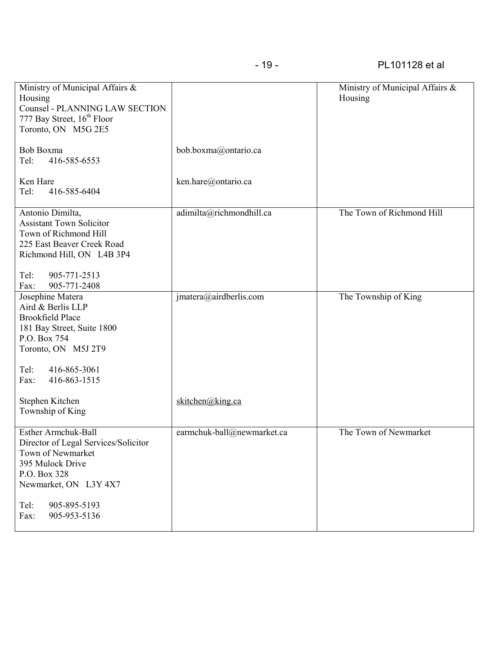| Ministry of Municipal Affairs &<br>Housing<br><b>Counsel - PLANNING LAW SECTION</b><br>777 Bay Street, 16 <sup>th</sup> Floor<br>Toronto, ON M5G 2E5                                                 |                            | Ministry of Municipal Affairs &<br>Housing |
|------------------------------------------------------------------------------------------------------------------------------------------------------------------------------------------------------|----------------------------|--------------------------------------------|
| Bob Boxma<br>416-585-6553<br>Tel:                                                                                                                                                                    | bob.boxma@ontario.ca       |                                            |
| Ken Hare<br>416-585-6404<br>Tel:                                                                                                                                                                     | ken.hare@ontario.ca        |                                            |
| Antonio Dimilta,<br><b>Assistant Town Solicitor</b><br>Town of Richmond Hill<br>225 East Beaver Creek Road<br>Richmond Hill, ON L4B 3P4<br>905-771-2513<br>Tel:<br>905-771-2408<br>Fax:              | adimilta@richmondhill.ca   | The Town of Richmond Hill                  |
| Josephine Matera<br>Aird & Berlis LLP<br><b>Brookfield Place</b><br>181 Bay Street, Suite 1800<br>P.O. Box 754<br>Toronto, ON M5J 2T9<br>416-865-3061<br>Tel:                                        | $j$ matera@airdberlis.com  | The Township of King                       |
| 416-863-1515<br>Fax:<br>Stephen Kitchen<br>Township of King                                                                                                                                          | skitchen@king.ca           |                                            |
| <b>Esther Armchuk-Ball</b><br>Director of Legal Services/Solicitor<br>Town of Newmarket<br>395 Mulock Drive<br>P.O. Box 328<br>Newmarket, ON L3Y 4X7<br>Tel:<br>905-895-5193<br>Fax:<br>905-953-5136 | earmchuk-ball@newmarket.ca | The Town of Newmarket                      |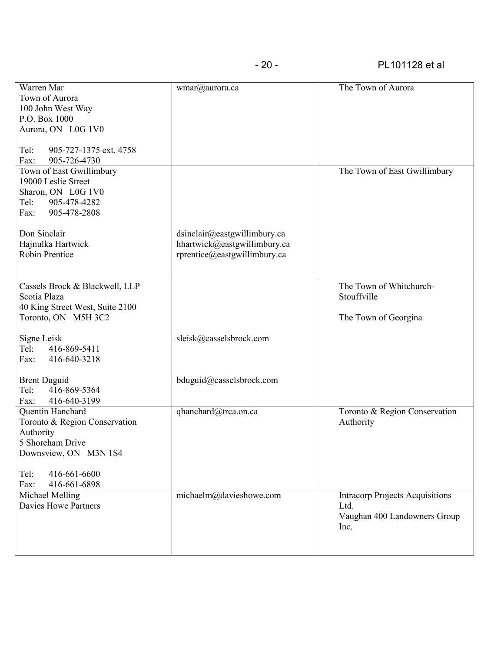| Warren Mar                                  | wmar@aurora.ca               | The Town of Aurora                     |
|---------------------------------------------|------------------------------|----------------------------------------|
| Town of Aurora                              |                              |                                        |
| 100 John West Way                           |                              |                                        |
| P.O. Box 1000                               |                              |                                        |
| Aurora, ON L0G 1V0                          |                              |                                        |
|                                             |                              |                                        |
| 905-727-1375 ext. 4758<br>Tel:              |                              |                                        |
| Fax:<br>905-726-4730                        |                              |                                        |
| Town of East Gwillimbury                    |                              | The Town of East Gwillimbury           |
| 19000 Leslie Street                         |                              |                                        |
| Sharon, ON L0G 1V0                          |                              |                                        |
| Tel:<br>905-478-4282                        |                              |                                        |
| 905-478-2808<br>Fax:                        |                              |                                        |
| Don Sinclair                                | dsinclair@eastgwillimbury.ca |                                        |
| Hajnulka Hartwick                           | hhartwick@eastgwillimbury.ca |                                        |
| Robin Prentice                              | rprentice@eastgwillimbury.ca |                                        |
|                                             |                              |                                        |
|                                             |                              |                                        |
| Cassels Brock & Blackwell, LLP              |                              | The Town of Whitchurch-                |
| Scotia Plaza                                |                              | Stouffville                            |
| 40 King Street West, Suite 2100             |                              |                                        |
| Toronto, ON M5H 3C2                         |                              | The Town of Georgina                   |
|                                             |                              |                                        |
| Signe Leisk                                 | sleisk@casselsbrock.com      |                                        |
| Tel:<br>416-869-5411                        |                              |                                        |
| 416-640-3218<br>Fax:                        |                              |                                        |
|                                             |                              |                                        |
| <b>Brent Duguid</b><br>Tel:<br>416-869-5364 | bduguid@casselsbrock.com     |                                        |
| 416-640-3199<br>Fax:                        |                              |                                        |
| Quentin Hanchard                            | qhanchard@trca.on.ca         | Toronto & Region Conservation          |
| Toronto & Region Conservation               |                              | Authority                              |
| Authority                                   |                              |                                        |
| 5 Shoreham Drive                            |                              |                                        |
| Downsview, ON M3N 1S4                       |                              |                                        |
|                                             |                              |                                        |
| Tel:<br>416-661-6600                        |                              |                                        |
| 416-661-6898<br>Fax:                        |                              |                                        |
| Michael Melling                             | michaelm@davieshowe.com      | <b>Intracorp Projects Acquisitions</b> |
| <b>Davies Howe Partners</b>                 |                              | Ltd.                                   |
|                                             |                              | Vaughan 400 Landowners Group           |
|                                             |                              | Inc.                                   |
|                                             |                              |                                        |
|                                             |                              |                                        |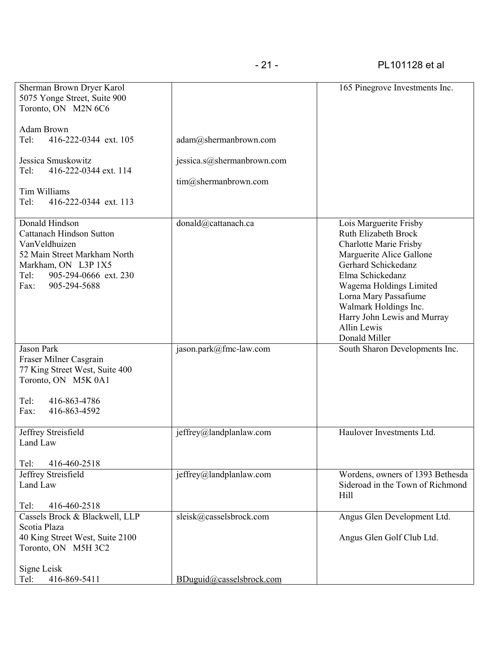| Sherman Brown Dryer Karol<br>5075 Yonge Street, Suite 900<br>Toronto, ON M2N 6C6                                                                                                   |                                                    | 165 Pinegrove Investments Inc.                                                                                                                                                                                                                                                                            |
|------------------------------------------------------------------------------------------------------------------------------------------------------------------------------------|----------------------------------------------------|-----------------------------------------------------------------------------------------------------------------------------------------------------------------------------------------------------------------------------------------------------------------------------------------------------------|
| <b>Adam Brown</b><br>Tel:<br>416-222-0344 ext. 105                                                                                                                                 | adam@shermanbrown.com                              |                                                                                                                                                                                                                                                                                                           |
| Jessica Smuskowitz<br>416-222-0344 ext. 114<br>Tel:<br>Tim Williams<br>Tel:<br>416-222-0344 ext. 113                                                                               | jessica.s@shermanbrown.com<br>tim@shermanbrown.com |                                                                                                                                                                                                                                                                                                           |
| Donald Hindson<br><b>Cattanach Hindson Sutton</b><br>VanVeldhuizen<br>52 Main Street Markham North<br>Markham, ON L3P 1X5<br>Tel:<br>905-294-0666 ext. 230<br>905-294-5688<br>Fax: | donald@cattanach.ca                                | Lois Marguerite Frisby<br>Ruth Elizabeth Brock<br><b>Charlotte Marie Frisby</b><br>Marguerite Alice Gallone<br>Gerhard Schickedanz<br>Elma Schickedanz<br>Wagema Holdings Limited<br>Lorna Mary Passafiume<br>Walmark Holdings Inc.<br>Harry John Lewis and Murray<br><b>Allin Lewis</b><br>Donald Miller |
| <b>Jason Park</b><br>Fraser Milner Casgrain<br>77 King Street West, Suite 400<br>Toronto, ON M5K 0A1<br>Tel:<br>416-863-4786<br>416-863-4592<br>Fax:                               | jason.park@fmc-law.com                             | South Sharon Developments Inc.                                                                                                                                                                                                                                                                            |
| Jeffrey Streisfield<br>Land Law                                                                                                                                                    | jeffrey@landplanlaw.com                            | Haulover Investments Ltd.                                                                                                                                                                                                                                                                                 |
| Tel:<br>416-460-2518<br><b>Jeffrey Streisfield</b><br>Land Law<br>Tel:<br>416-460-2518                                                                                             | jeffrey@landplanlaw.com                            | Wordens, owners of 1393 Bethesda<br>Sideroad in the Town of Richmond<br>Hill                                                                                                                                                                                                                              |
| Cassels Brock & Blackwell, LLP<br>Scotia Plaza<br>40 King Street West, Suite 2100<br>Toronto, ON M5H 3C2                                                                           | sleisk@casselsbrock.com                            | Angus Glen Development Ltd.<br>Angus Glen Golf Club Ltd.                                                                                                                                                                                                                                                  |
| Signe Leisk<br>416-869-5411<br>Tel:                                                                                                                                                | BDuguid@casselsbrock.com                           |                                                                                                                                                                                                                                                                                                           |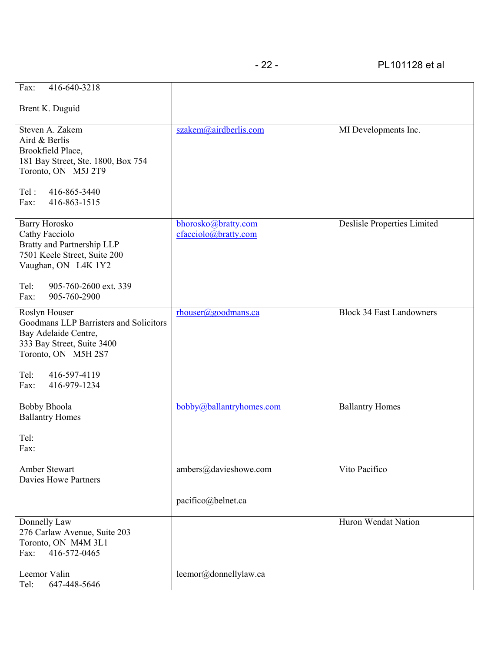| Fax:<br>416-640-3218                                                                                                                                                                 |                                             |                                 |
|--------------------------------------------------------------------------------------------------------------------------------------------------------------------------------------|---------------------------------------------|---------------------------------|
| Brent K. Duguid                                                                                                                                                                      |                                             |                                 |
| Steven A. Zakem<br>Aird & Berlis<br>Brookfield Place,<br>181 Bay Street, Ste. 1800, Box 754<br>Toronto, ON M5J 2T9<br>416-865-3440<br>Tel:<br>416-863-1515<br>Fax:                   | szakem@airdberlis.com                       | MI Developments Inc.            |
| <b>Barry Horosko</b><br>Cathy Facciolo<br>Bratty and Partnership LLP<br>7501 Keele Street, Suite 200<br>Vaughan, ON L4K 1Y2<br>905-760-2600 ext. 339<br>Tel:<br>905-760-2900<br>Fax: | bhorosko@bratty.com<br>cfacciolo@bratty.com | Deslisle Properties Limited     |
| Roslyn Houser<br>Goodmans LLP Barristers and Solicitors<br>Bay Adelaide Centre,<br>333 Bay Street, Suite 3400<br>Toronto, ON M5H 2S7<br>Tel:<br>416-597-4119<br>Fax:<br>416-979-1234 | rhouser@goodmans.ca                         | <b>Block 34 East Landowners</b> |
| <b>Bobby Bhoola</b><br><b>Ballantry Homes</b><br>Tel:<br>Fax:                                                                                                                        | bobby@ballantryhomes.com                    | <b>Ballantry Homes</b>          |
| Amber Stewart<br>Davies Howe Partners                                                                                                                                                | ambers@davieshowe.com<br>pacifico@belnet.ca | Vito Pacifico                   |
| Donnelly Law<br>276 Carlaw Avenue, Suite 203<br>Toronto, ON M4M 3L1<br>416-572-0465<br>Fax:<br>Leemor Valin                                                                          |                                             | Huron Wendat Nation             |
| Tel:<br>647-448-5646                                                                                                                                                                 | leemor@donnellylaw.ca                       |                                 |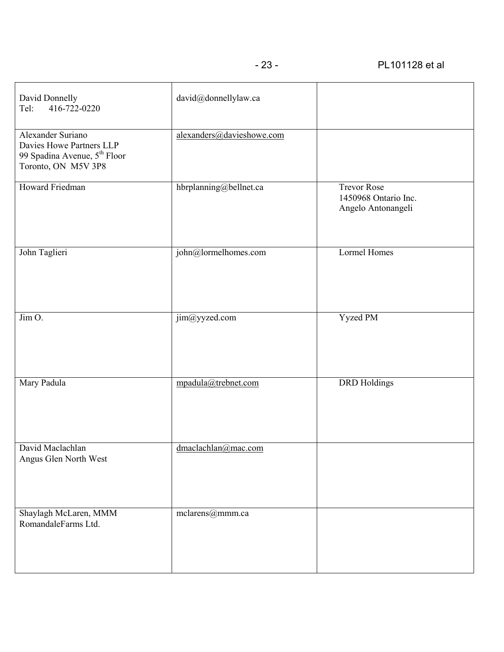| David Donnelly<br>416-722-0220<br>Tel:                                                                           | david@donnellylaw.ca      |                                                                  |
|------------------------------------------------------------------------------------------------------------------|---------------------------|------------------------------------------------------------------|
| Alexander Suriano<br>Davies Howe Partners LLP<br>99 Spadina Avenue, 5 <sup>th</sup> Floor<br>Toronto, ON M5V 3P8 | alexanders@davieshowe.com |                                                                  |
| Howard Friedman                                                                                                  | hbrplanning@bellnet.ca    | <b>Trevor Rose</b><br>1450968 Ontario Inc.<br>Angelo Antonangeli |
| John Taglieri                                                                                                    | john@lormelhomes.com      | <b>Lormel Homes</b>                                              |
| $\overline{\lim 0}$ .                                                                                            | jim@yyzed.com             | <b>Yyzed PM</b>                                                  |
| Mary Padula                                                                                                      | mpadula@trebnet.com       | <b>DRD</b> Holdings                                              |
| David Maclachlan<br>Angus Glen North West                                                                        | dmaclachlan@mac.com       |                                                                  |
| Shaylagh McLaren, MMM<br>RomandaleFarms Ltd.                                                                     | mclarens@mmm.ca           |                                                                  |